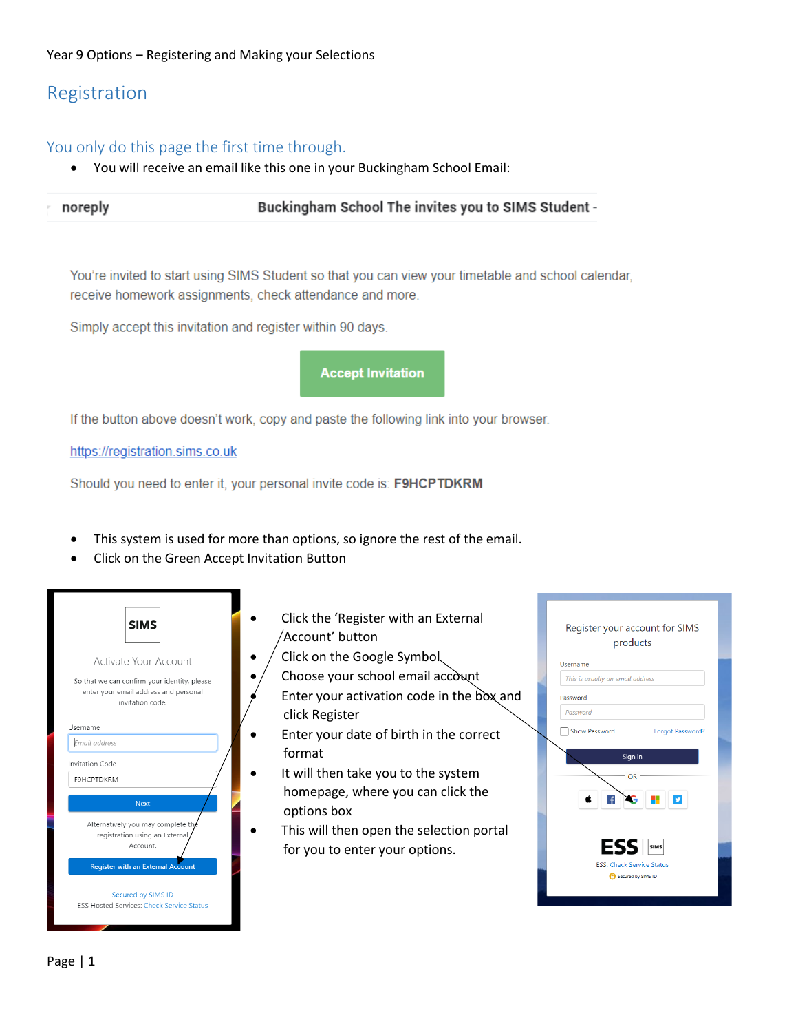### Year 9 Options – Registering and Making your Selections

# Registration

## You only do this page the first time through.

You will receive an email like this one in your Buckingham School Email:

| noreply | Buckingham School The invites you to SIMS Student - |
|---------|-----------------------------------------------------|
|         |                                                     |

You're invited to start using SIMS Student so that you can view your timetable and school calendar, receive homework assignments, check attendance and more.

Simply accept this invitation and register within 90 days.



If the button above doesn't work, copy and paste the following link into your browser.

https://registration.sims.co.uk

Should you need to enter it, your personal invite code is: F9HCPTDKRM

- This system is used for more than options, so ignore the rest of the email.
- Click on the Green Accept Invitation Button



- Click the 'Register with an External Account' button
- $\bullet$  / Click on the Google Symbol
	- Choose your school email account
	- Enter your activation code in the box and click Register
- Enter your date of birth in the correct format
- It will then take you to the system homepage, where you can click the options box
- This will then open the selection portal for you to enter your options.

| Register your account for SIMS<br>products                                |  |  |  |  |  |
|---------------------------------------------------------------------------|--|--|--|--|--|
| Username                                                                  |  |  |  |  |  |
| This is usually an email address                                          |  |  |  |  |  |
| Password                                                                  |  |  |  |  |  |
| Password                                                                  |  |  |  |  |  |
| Show Password<br>Forgot Password?                                         |  |  |  |  |  |
| Sign in<br>OR<br>ÿ                                                        |  |  |  |  |  |
| ESS <b>SIMS</b><br><b>ESS: Check Service Status</b><br>Secured by SIMS ID |  |  |  |  |  |